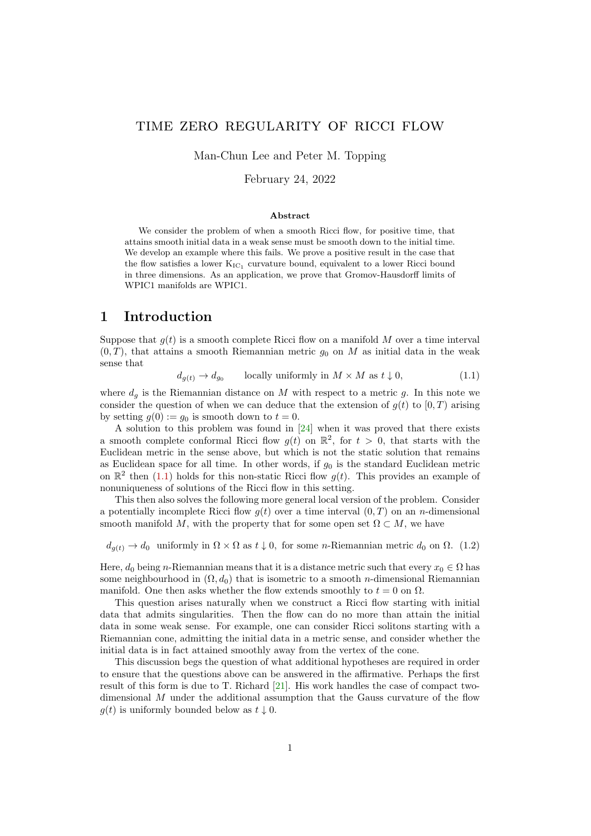### time zero regularity of ricci flow

Man-Chun Lee and Peter M. Topping

February 24, 2022

#### Abstract

We consider the problem of when a smooth Ricci flow, for positive time, that attains smooth initial data in a weak sense must be smooth down to the initial time. We develop an example where this fails. We prove a positive result in the case that the flow satisfies a lower  $K_{IC_1}$  curvature bound, equivalent to a lower Ricci bound in three dimensions. As an application, we prove that Gromov-Hausdorff limits of WPIC1 manifolds are WPIC1.

### 1 Introduction

Suppose that  $q(t)$  is a smooth complete Ricci flow on a manifold M over a time interval  $(0, T)$ , that attains a smooth Riemannian metric  $g_0$  on M as initial data in the weak sense that

<span id="page-0-0"></span>
$$
d_{g(t)} \to d_{g_0} \qquad \text{locally uniformly in } M \times M \text{ as } t \downarrow 0,
$$
\n
$$
(1.1)
$$

where  $d_q$  is the Riemannian distance on M with respect to a metric g. In this note we consider the question of when we can deduce that the extension of  $g(t)$  to  $[0, T)$  arising by setting  $g(0) := g_0$  is smooth down to  $t = 0$ .

A solution to this problem was found in [\[24\]](#page-8-0) when it was proved that there exists a smooth complete conformal Ricci flow  $g(t)$  on  $\mathbb{R}^2$ , for  $t > 0$ , that starts with the Euclidean metric in the sense above, but which is not the static solution that remains as Euclidean space for all time. In other words, if  $g_0$  is the standard Euclidean metric on  $\mathbb{R}^2$  then [\(1.1\)](#page-0-0) holds for this non-static Ricci flow  $g(t)$ . This provides an example of nonuniqueness of solutions of the Ricci flow in this setting.

This then also solves the following more general local version of the problem. Consider a potentially incomplete Ricci flow  $g(t)$  over a time interval  $(0, T)$  on an *n*-dimensional smooth manifold M, with the property that for some open set  $\Omega \subset M$ , we have

<span id="page-0-1"></span> $d_{g(t)} \to d_0$  uniformly in  $\Omega \times \Omega$  as  $t \downarrow 0$ , for some *n*-Riemannian metric  $d_0$  on  $\Omega$ . (1.2)

Here,  $d_0$  being n-Riemannian means that it is a distance metric such that every  $x_0 \in \Omega$  has some neighbourhood in  $(\Omega, d_0)$  that is isometric to a smooth *n*-dimensional Riemannian manifold. One then asks whether the flow extends smoothly to  $t = 0$  on  $\Omega$ .

This question arises naturally when we construct a Ricci flow starting with initial data that admits singularities. Then the flow can do no more than attain the initial data in some weak sense. For example, one can consider Ricci solitons starting with a Riemannian cone, admitting the initial data in a metric sense, and consider whether the initial data is in fact attained smoothly away from the vertex of the cone.

This discussion begs the question of what additional hypotheses are required in order to ensure that the questions above can be answered in the affirmative. Perhaps the first result of this form is due to T. Richard [\[21\]](#page-8-1). His work handles the case of compact twodimensional M under the additional assumption that the Gauss curvature of the flow  $g(t)$  is uniformly bounded below as  $t \downarrow 0$ .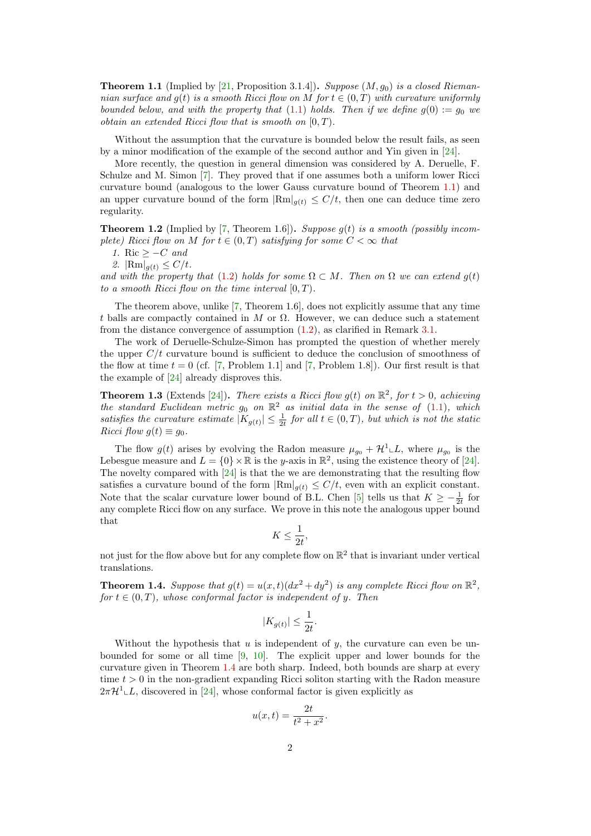<span id="page-1-0"></span>**Theorem 1.1** (Implied by [\[21,](#page-8-1) Proposition 3.1.4]). Suppose  $(M, g_0)$  is a closed Riemannian surface and  $g(t)$  is a smooth Ricci flow on M for  $t \in (0,T)$  with curvature uniformly bounded below, and with the property that [\(1.1\)](#page-0-0) holds. Then if we define  $g(0) := g_0$  we *obtain an extended Ricci flow that is smooth on*  $[0, T)$ .

Without the assumption that the curvature is bounded below the result fails, as seen by a minor modification of the example of the second author and Yin given in [\[24\]](#page-8-0).

More recently, the question in general dimension was considered by A. Deruelle, F. Schulze and M. Simon [\[7\]](#page-7-0). They proved that if one assumes both a uniform lower Ricci curvature bound (analogous to the lower Gauss curvature bound of Theorem [1.1\)](#page-1-0) and an upper curvature bound of the form  $\left|\text{Rm}\right|_{q(t)} \leq C/t$ , then one can deduce time zero regularity.

<span id="page-1-2"></span>**Theorem 1.2** (Implied by [\[7,](#page-7-0) Theorem 1.6]). Suppose  $g(t)$  is a smooth (possibly incomplete) Ricci flow on M for  $t \in (0,T)$  satisfying for some  $C < \infty$  that

<span id="page-1-3"></span>1. Ric  $\geq -C$  and

<span id="page-1-4"></span>2.  $|\text{Rm}|_{g(t)} \le C/t$ .

and with the property that [\(1.2\)](#page-0-1) holds for some  $\Omega \subset M$ . Then on  $\Omega$  we can extend  $g(t)$ to a smooth Ricci flow on the time interval  $[0, T)$ .

The theorem above, unlike [\[7,](#page-7-0) Theorem 1.6], does not explicitly assume that any time t balls are compactly contained in M or  $\Omega$ . However, we can deduce such a statement from the distance convergence of assumption [\(1.2\)](#page-0-1), as clarified in Remark [3.1.](#page-4-0)

The work of Deruelle-Schulze-Simon has prompted the question of whether merely the upper  $C/t$  curvature bound is sufficient to deduce the conclusion of smoothness of the flow at time  $t = 0$  (cf. [\[7,](#page-7-0) Problem 1.1] and [7, Problem 1.8]). Our first result is that the example of [\[24\]](#page-8-0) already disproves this.

**Theorem 1.3** (Extends [\[24\]](#page-8-0)). There exists a Ricci flow  $g(t)$  on  $\mathbb{R}^2$ , for  $t > 0$ , achieving the standard Euclidean metric  $g_0$  on  $\mathbb{R}^2$  as initial data in the sense of [\(1.1\)](#page-0-0), which satisfies the curvature estimate  $|K_{g(t)}| \leq \frac{1}{2t}$  for all  $t \in (0,T)$ , but which is not the static Ricci flow  $q(t) \equiv q_0$ .

The flow  $g(t)$  arises by evolving the Radon measure  $\mu_{g_0} + \mathcal{H}^1 \llcorner L$ , where  $\mu_{g_0}$  is the Lebesgue measure and  $L = \{0\} \times \mathbb{R}$  is the y-axis in  $\mathbb{R}^2$ , using the existence theory of [\[24\]](#page-8-0). The novelty compared with  $[24]$  is that the we are demonstrating that the resulting flow satisfies a curvature bound of the form  $|\text{Rm}|_{g(t)} \leq C/t$ , even with an explicit constant. Note that the scalar curvature lower bound of B.L. Chen [\[5\]](#page-7-1) tells us that  $K \ge -\frac{1}{2t}$  for any complete Ricci flow on any surface. We prove in this note the analogous upper bound that

$$
K \le \frac{1}{2t},
$$

not just for the flow above but for any complete flow on  $\mathbb{R}^2$  that is invariant under vertical translations.

<span id="page-1-1"></span>**Theorem 1.4.** Suppose that  $g(t) = u(x,t)(dx^2 + dy^2)$  is any complete Ricci flow on  $\mathbb{R}^2$ , for  $t \in (0, T)$ , whose conformal factor is independent of y. Then

$$
|K_{g(t)}| \leq \frac{1}{2t}.
$$

Without the hypothesis that  $u$  is independent of  $y$ , the curvature can even be unbounded for some or all time [\[9,](#page-7-2) [10\]](#page-7-3). The explicit upper and lower bounds for the curvature given in Theorem [1.4](#page-1-1) are both sharp. Indeed, both bounds are sharp at every time  $t > 0$  in the non-gradient expanding Ricci soliton starting with the Radon measure  $2\pi\mathcal{H}^1\llcorner L$ , discovered in [\[24\]](#page-8-0), whose conformal factor is given explicitly as

$$
u(x,t) = \frac{2t}{t^2 + x^2}.
$$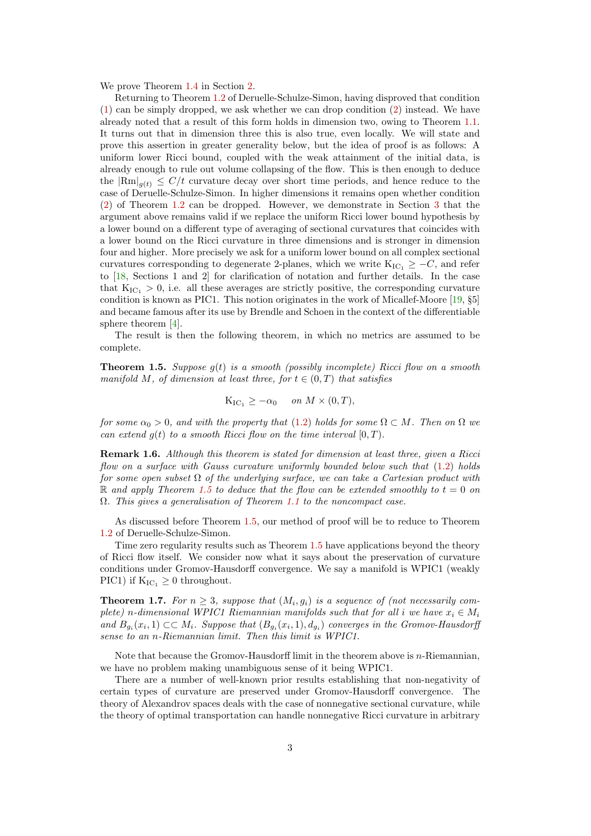We prove Theorem [1.4](#page-1-1) in Section [2.](#page-3-0)

Returning to Theorem [1.2](#page-1-2) of Deruelle-Schulze-Simon, having disproved that condition [\(1\)](#page-1-3) can be simply dropped, we ask whether we can drop condition [\(2\)](#page-1-4) instead. We have already noted that a result of this form holds in dimension two, owing to Theorem [1.1.](#page-1-0) It turns out that in dimension three this is also true, even locally. We will state and prove this assertion in greater generality below, but the idea of proof is as follows: A uniform lower Ricci bound, coupled with the weak attainment of the initial data, is already enough to rule out volume collapsing of the flow. This is then enough to deduce the  $|\text{Rm}|_{q(t)} \leq C/t$  curvature decay over short time periods, and hence reduce to the case of Deruelle-Schulze-Simon. In higher dimensions it remains open whether condition [\(2\)](#page-1-4) of Theorem [1.2](#page-1-2) can be dropped. However, we demonstrate in Section [3](#page-4-1) that the argument above remains valid if we replace the uniform Ricci lower bound hypothesis by a lower bound on a different type of averaging of sectional curvatures that coincides with a lower bound on the Ricci curvature in three dimensions and is stronger in dimension four and higher. More precisely we ask for a uniform lower bound on all complex sectional curvatures corresponding to degenerate 2-planes, which we write  $K_{IC_1} \geq -C$ , and refer to [\[18,](#page-8-2) Sections 1 and 2] for clarification of notation and further details. In the case that  $K_{IC_1} > 0$ , i.e. all these averages are strictly positive, the corresponding curvature condition is known as PIC1. This notion originates in the work of Micallef-Moore [\[19,](#page-8-3) §5] and became famous after its use by Brendle and Schoen in the context of the differentiable sphere theorem [\[4\]](#page-7-4).

The result is then the following theorem, in which no metrics are assumed to be complete.

<span id="page-2-0"></span>**Theorem 1.5.** Suppose  $q(t)$  is a smooth (possibly incomplete) Ricci flow on a smooth manifold M, of dimension at least three, for  $t \in (0,T)$  that satisfies

$$
K_{\mathrm{IC}_1} \geq -\alpha_0 \quad on \ M \times (0,T),
$$

for some  $\alpha_0 > 0$ , and with the property that [\(1.2\)](#page-0-1) holds for some  $\Omega \subset M$ . Then on  $\Omega$  we can extend  $g(t)$  to a smooth Ricci flow on the time interval  $[0, T)$ .

Remark 1.6. Although this theorem is stated for dimension at least three, given a Ricci flow on a surface with Gauss curvature uniformly bounded below such that [\(1.2\)](#page-0-1) holds for some open subset  $\Omega$  of the underlying surface, we can take a Cartesian product with R and apply Theorem [1.5](#page-2-0) to deduce that the flow can be extended smoothly to  $t = 0$  on Ω. This gives a generalisation of Theorem [1.1](#page-1-0) to the noncompact case.

As discussed before Theorem [1.5,](#page-2-0) our method of proof will be to reduce to Theorem [1.2](#page-1-2) of Deruelle-Schulze-Simon.

Time zero regularity results such as Theorem [1.5](#page-2-0) have applications beyond the theory of Ricci flow itself. We consider now what it says about the preservation of curvature conditions under Gromov-Hausdorff convergence. We say a manifold is WPIC1 (weakly PIC1) if  $K_{IC_1} \geq 0$  throughout.

<span id="page-2-1"></span>**Theorem 1.7.** For  $n \geq 3$ , suppose that  $(M_i, g_i)$  is a sequence of (not necessarily complete) n-dimensional WPIC1 Riemannian manifolds such that for all i we have  $x_i \in M_i$ and  $B_{g_i}(x_i,1) \subset\subset M_i$ . Suppose that  $(B_{g_i}(x_i,1), d_{g_i})$  converges in the Gromov-Hausdorff sense to an n-Riemannian limit. Then this limit is WPIC1.

Note that because the Gromov-Hausdorff limit in the theorem above is  $n$ -Riemannian, we have no problem making unambiguous sense of it being WPIC1.

There are a number of well-known prior results establishing that non-negativity of certain types of curvature are preserved under Gromov-Hausdorff convergence. The theory of Alexandrov spaces deals with the case of nonnegative sectional curvature, while the theory of optimal transportation can handle nonnegative Ricci curvature in arbitrary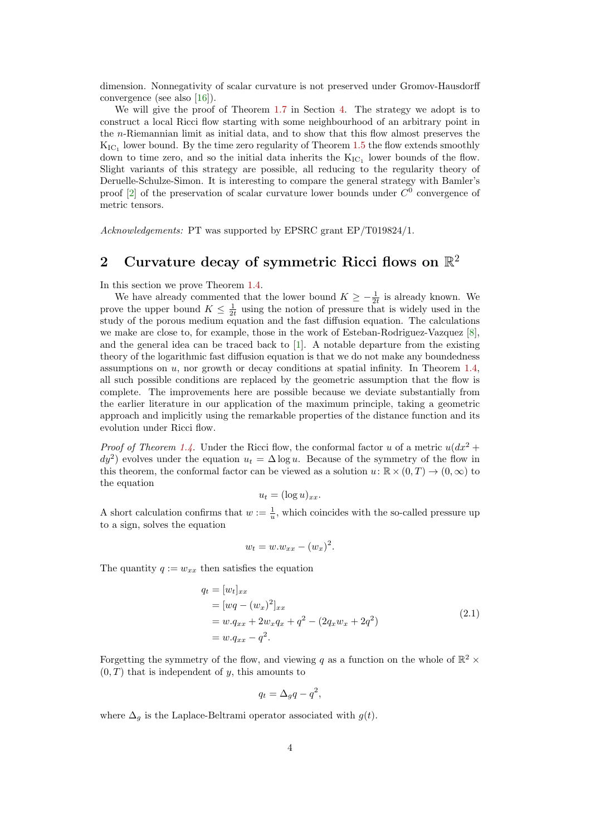dimension. Nonnegativity of scalar curvature is not preserved under Gromov-Hausdorff convergence (see also [\[16\]](#page-8-4)).

We will give the proof of Theorem [1.7](#page-2-1) in Section [4.](#page-5-0) The strategy we adopt is to construct a local Ricci flow starting with some neighbourhood of an arbitrary point in the n-Riemannian limit as initial data, and to show that this flow almost preserves the  $K_{\mathrm{IC}_1}$  lower bound. By the time zero regularity of Theorem [1.5](#page-2-0) the flow extends smoothly down to time zero, and so the initial data inherits the  $K_{IC_1}$  lower bounds of the flow. Slight variants of this strategy are possible, all reducing to the regularity theory of Deruelle-Schulze-Simon. It is interesting to compare the general strategy with Bamler's proof  $[2]$  of the preservation of scalar curvature lower bounds under  $C^0$  convergence of metric tensors.

Acknowledgements: PT was supported by EPSRC grant EP/T019824/1.

# <span id="page-3-0"></span>2 Curvature decay of symmetric Ricci flows on  $\mathbb{R}^2$

In this section we prove Theorem [1.4.](#page-1-1)

We have already commented that the lower bound  $K \geq -\frac{1}{2t}$  is already known. We prove the upper bound  $K \leq \frac{1}{2t}$  using the notion of pressure that is widely used in the study of the porous medium equation and the fast diffusion equation. The calculations we make are close to, for example, those in the work of Esteban-Rodriguez-Vazquez [\[8\]](#page-7-6), and the general idea can be traced back to [\[1\]](#page-7-7). A notable departure from the existing theory of the logarithmic fast diffusion equation is that we do not make any boundedness assumptions on  $u$ , nor growth or decay conditions at spatial infinity. In Theorem [1.4,](#page-1-1) all such possible conditions are replaced by the geometric assumption that the flow is complete. The improvements here are possible because we deviate substantially from the earlier literature in our application of the maximum principle, taking a geometric approach and implicitly using the remarkable properties of the distance function and its evolution under Ricci flow.

*Proof of Theorem [1.4.](#page-1-1)* Under the Ricci flow, the conformal factor u of a metric  $u(dx^2 +$  $dy^2$ ) evolves under the equation  $u_t = \Delta \log u$ . Because of the symmetry of the flow in this theorem, the conformal factor can be viewed as a solution  $u: \mathbb{R} \times (0,T) \to (0,\infty)$  to the equation

$$
u_t = (\log u)_{xx}.
$$

A short calculation confirms that  $w := \frac{1}{u}$ , which coincides with the so-called pressure up to a sign, solves the equation

$$
w_t = w.w_{xx} - (w_x)^2.
$$

The quantity  $q := w_{xx}$  then satisfies the equation

$$
q_t = [w_t]_{xx}
$$
  
=  $[wq - (w_x)^2]_{xx}$   
=  $w.q_{xx} + 2w_xq_x + q^2 - (2q_xw_x + 2q^2)$   
=  $w.q_{xx} - q^2$ . (2.1)

Forgetting the symmetry of the flow, and viewing q as a function on the whole of  $\mathbb{R}^2$  ×  $(0, T)$  that is independent of y, this amounts to

$$
q_t = \Delta_g q - q^2,
$$

where  $\Delta_g$  is the Laplace-Beltrami operator associated with  $g(t)$ .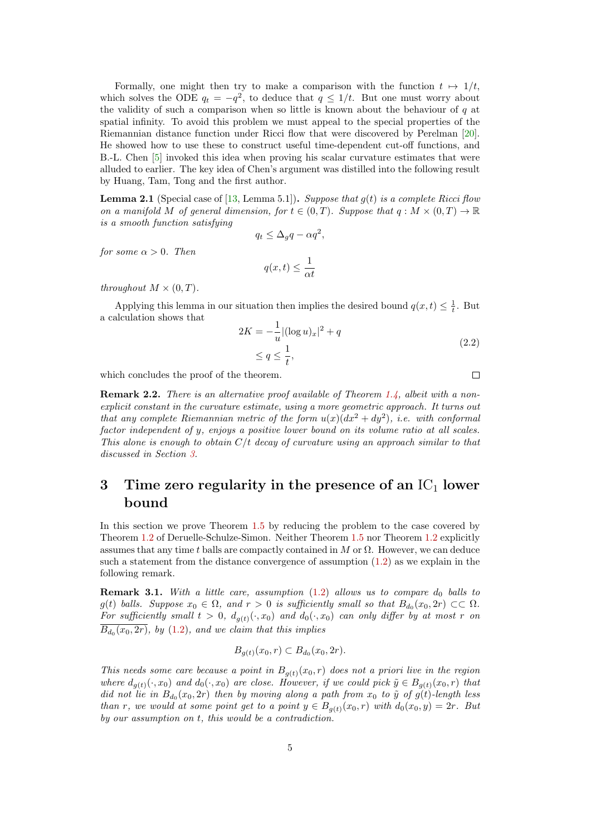Formally, one might then try to make a comparison with the function  $t \mapsto 1/t$ , which solves the ODE  $q_t = -q^2$ , to deduce that  $q \leq 1/t$ . But one must worry about the validity of such a comparison when so little is known about the behaviour of  $q$  at spatial infinity. To avoid this problem we must appeal to the special properties of the Riemannian distance function under Ricci flow that were discovered by Perelman [\[20\]](#page-8-5). He showed how to use these to construct useful time-dependent cut-off functions, and B.-L. Chen [\[5\]](#page-7-1) invoked this idea when proving his scalar curvature estimates that were alluded to earlier. The key idea of Chen's argument was distilled into the following result by Huang, Tam, Tong and the first author.

**Lemma 2.1** (Special case of [\[13,](#page-7-8) Lemma 5.1]). Suppose that  $g(t)$  is a complete Ricci flow on a manifold M of general dimension, for  $t \in (0,T)$ . Suppose that  $q : M \times (0,T) \to \mathbb{R}$ is a smooth function satisfying

$$
q_t \le \Delta_g q - \alpha q^2,
$$

for some  $\alpha > 0$ . Then

 $q(x,t) \leq \frac{1}{t}$ αt

throughout  $M \times (0,T)$ .

Applying this lemma in our situation then implies the desired bound  $q(x,t) \leq \frac{1}{t}$ . But a calculation shows that

$$
2K = -\frac{1}{u} |(\log u)_x|^2 + q
$$
  
\n
$$
\le q \le \frac{1}{t},
$$
\n(2.2)

which concludes the proof of the theorem.

**Remark 2.2.** There is an alternative proof available of Theorem [1.4,](#page-1-1) albeit with a nonexplicit constant in the curvature estimate, using a more geometric approach. It turns out that any complete Riemannian metric of the form  $u(x)(dx^2 + dy^2)$ , i.e. with conformal factor independent of y, enjoys a positive lower bound on its volume ratio at all scales. This alone is enough to obtain  $C/t$  decay of curvature using an approach similar to that discussed in Section [3.](#page-4-1)

# <span id="page-4-1"></span>3 Time zero regularity in the presence of an  $IC<sub>1</sub>$  lower bound

In this section we prove Theorem [1.5](#page-2-0) by reducing the problem to the case covered by Theorem [1.2](#page-1-2) of Deruelle-Schulze-Simon. Neither Theorem [1.5](#page-2-0) nor Theorem [1.2](#page-1-2) explicitly assumes that any time t balls are compactly contained in M or  $\Omega$ . However, we can deduce such a statement from the distance convergence of assumption [\(1.2\)](#page-0-1) as we explain in the following remark.

<span id="page-4-0"></span>**Remark 3.1.** With a little care, assumption  $(1.2)$  allows us to compare  $d_0$  balls to  $g(t)$  balls. Suppose  $x_0 \in \Omega$ , and  $r > 0$  is sufficiently small so that  $B_{d_0}(x_0, 2r) \subset\subset \Omega$ . For sufficiently small  $t > 0$ ,  $d_{g(t)}(\cdot, x_0)$  and  $d_0(\cdot, x_0)$  can only differ by at most r on  $B_{d_0}(x_0, 2r)$ , by  $(1.2)$ , and we claim that this implies

$$
B_{g(t)}(x_0,r) \subset B_{d_0}(x_0, 2r).
$$

This needs some care because a point in  $B_{g(t)}(x_0, r)$  does not a priori live in the region where  $d_{g(t)}(\cdot, x_0)$  and  $d_0(\cdot, x_0)$  are close. However, if we could pick  $\tilde{y} \in B_{g(t)}(x_0, r)$  that did not lie in  $B_{d_0}(x_0, 2r)$  then by moving along a path from  $x_0$  to  $\tilde{y}$  of  $g(t)$ -length less than r, we would at some point get to a point  $y \in B_{q(t)}(x_0, r)$  with  $d_0(x_0, y) = 2r$ . But by our assumption on t, this would be a contradiction.

 $\Box$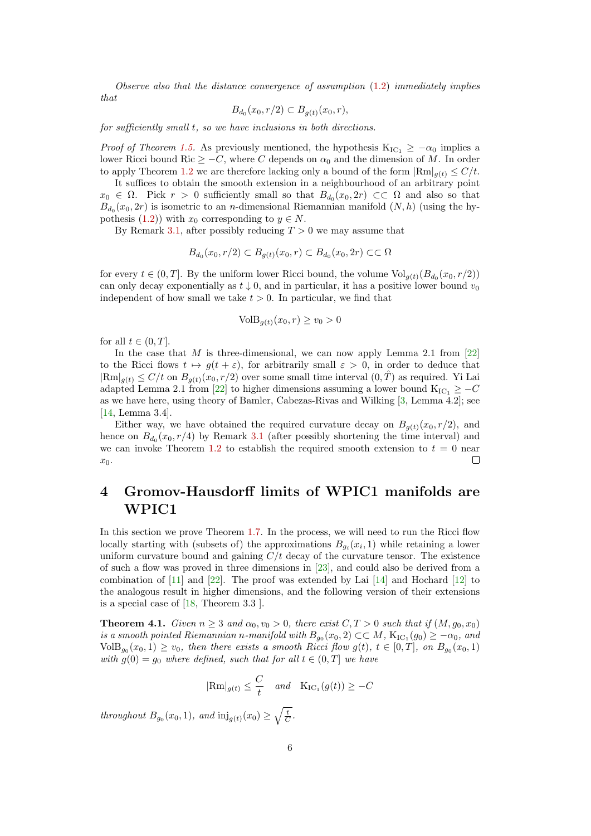Observe also that the distance convergence of assumption [\(1.2\)](#page-0-1) immediately implies that

$$
B_{d_0}(x_0, r/2) \subset B_{g(t)}(x_0, r),
$$

for sufficiently small t, so we have inclusions in both directions.

*Proof of Theorem [1.5.](#page-2-0)* As previously mentioned, the hypothesis  $K_{IC_1} \geq -\alpha_0$  implies a lower Ricci bound Ric  $\geq -C$ , where C depends on  $\alpha_0$  and the dimension of M. In order to apply Theorem [1.2](#page-1-2) we are therefore lacking only a bound of the form  $\left|\text{Rm}\right|_{q(t)} \leq C/t$ .

It suffices to obtain the smooth extension in a neighbourhood of an arbitrary point  $x_0 \in \Omega$ . Pick  $r > 0$  sufficiently small so that  $B_{d_0}(x_0, 2r) \subset\subset \Omega$  and also so that  $B_{d_0}(x_0, 2r)$  is isometric to an *n*-dimensional Riemannian manifold  $(N, h)$  (using the hy-pothesis [\(1.2\)](#page-0-1)) with  $x_0$  corresponding to  $y \in N$ .

By Remark [3.1,](#page-4-0) after possibly reducing  $T > 0$  we may assume that

$$
B_{d_0}(x_0,r/2) \subset B_{g(t)}(x_0,r) \subset B_{d_0}(x_0,2r) \subset\subset \Omega
$$

for every  $t \in (0, T]$ . By the uniform lower Ricci bound, the volume  $Vol_{g(t)}(B_{d_0}(x_0, r/2))$ can only decay exponentially as  $t \downarrow 0$ , and in particular, it has a positive lower bound  $v_0$ independent of how small we take  $t > 0$ . In particular, we find that

$$
VolB_{g(t)}(x_0, r) \ge v_0 > 0
$$

for all  $t \in (0, T]$ .

In the case that M is three-dimensional, we can now apply Lemma 2.1 from  $[22]$ to the Ricci flows  $t \mapsto g(t + \varepsilon)$ , for arbitrarily small  $\varepsilon > 0$ , in order to deduce that  $|\text{Rm}|_{q(t)} \leq C/t$  on  $B_{q(t)}(x_0, r/2)$  over some small time interval  $(0, \hat{T})$  as required. Yi Lai adapted Lemma 2.1 from [\[22\]](#page-8-6) to higher dimensions assuming a lower bound  $K_{\text{IC}_1} \geq -C$ as we have here, using theory of Bamler, Cabezas-Rivas and Wilking [\[3,](#page-7-9) Lemma 4.2]; see [\[14,](#page-7-10) Lemma 3.4].

Either way, we have obtained the required curvature decay on  $B_{q(t)}(x_0, r/2)$ , and hence on  $B_{d_0}(x_0, r/4)$  by Remark [3.1](#page-4-0) (after possibly shortening the time interval) and we can invoke Theorem [1.2](#page-1-2) to establish the required smooth extension to  $t = 0$  near  $\Box$  $x_0$ .

## <span id="page-5-0"></span>4 Gromov-Hausdorff limits of WPIC1 manifolds are WPIC1

In this section we prove Theorem [1.7.](#page-2-1) In the process, we will need to run the Ricci flow locally starting with (subsets of) the approximations  $B_{g_i}(x_i, 1)$  while retaining a lower uniform curvature bound and gaining  $C/t$  decay of the curvature tensor. The existence of such a flow was proved in three dimensions in [\[23\]](#page-8-7), and could also be derived from a combination of [\[11\]](#page-7-11) and [\[22\]](#page-8-6). The proof was extended by Lai [\[14\]](#page-7-10) and Hochard [\[12\]](#page-7-12) to the analogous result in higher dimensions, and the following version of their extensions is a special case of [\[18,](#page-8-2) Theorem 3.3 ].

<span id="page-5-1"></span>**Theorem 4.1.** Given  $n \geq 3$  and  $\alpha_0, \nu_0 > 0$ , there exist  $C, T > 0$  such that if  $(M, g_0, x_0)$ is a smooth pointed Riemannian n-manifold with  $B_{g_0}(x_0, 2) \subset\subset M$ ,  $\text{K}_{\text{IC}_1}(g_0) \geq -\alpha_0$ , and  $\text{VolB}_{g_0}(x_0,1) \geq v_0$ , then there exists a smooth Ricci flow  $g(t)$ ,  $t \in [0,T]$ , on  $B_{g_0}(x_0,1)$ with  $g(0) = g_0$  where defined, such that for all  $t \in (0, T]$  we have

$$
|\text{Rm}|_{g(t)} \leq \frac{C}{t}
$$
 and  $\text{K}_{\text{IC}_1}(g(t)) \geq -C$ 

throughout  $B_{g_0}(x_0, 1)$ , and  $\text{inj}_{g(t)}(x_0) \ge \sqrt{\frac{t}{C}}$ .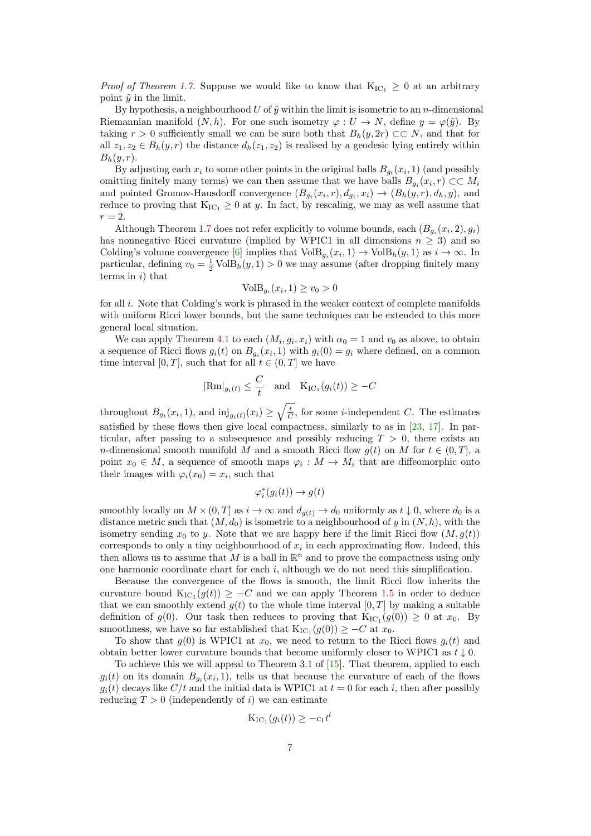*Proof of Theorem [1.7.](#page-2-1)* Suppose we would like to know that  $K_{IC_1} \geq 0$  at an arbitrary point  $\tilde{y}$  in the limit.

By hypothesis, a neighbourhood U of  $\tilde{y}$  within the limit is isometric to an n-dimensional Riemannian manifold  $(N, h)$ . For one such isometry  $\varphi : U \to N$ , define  $y = \varphi(\tilde{y})$ . By taking r > 0 sufficiently small we can be sure both that  $B_h(y, 2r) \subset\subset N$ , and that for all  $z_1, z_2 \in B_h(y, r)$  the distance  $d_h(z_1, z_2)$  is realised by a geodesic lying entirely within  $B_h(y,r)$ .

By adjusting each  $x_i$  to some other points in the original balls  $B_{g_i}(x_i, 1)$  (and possibly omitting finitely many terms) we can then assume that we have balls  $B_{g_i}(x_i, r) \subset\subset M_i$ and pointed Gromov-Hausdorff convergence  $(B_{g_i}(x_i,r), d_{g_i}, x_i) \to (B_h(y,r), d_h, y)$ , and reduce to proving that  $K_{IC_1} \geq 0$  at y. In fact, by rescaling, we may as well assume that  $r=2$ .

Although Theorem [1.7](#page-2-1) does not refer explicitly to volume bounds, each  $(B_{g_i}(x_i, 2), g_i)$ has nonnegative Ricci curvature (implied by WPIC1 in all dimensions  $n \geq 3$ ) and so Colding's volume convergence [\[6\]](#page-7-13) implies that  $\text{VolB}_{g_i}(x_i, 1) \to \text{VolB}_h(y, 1)$  as  $i \to \infty$ . In particular, defining  $v_0 = \frac{1}{2} \text{VolB}_h(y, 1) > 0$  we may assume (after dropping finitely many terms in  $i)$  that

$$
VolB_{g_i}(x_i, 1) \ge v_0 > 0
$$

for all i. Note that Colding's work is phrased in the weaker context of complete manifolds with uniform Ricci lower bounds, but the same techniques can be extended to this more general local situation.

We can apply Theorem [4.1](#page-5-1) to each  $(M_i, g_i, x_i)$  with  $\alpha_0 = 1$  and  $v_0$  as above, to obtain a sequence of Ricci flows  $g_i(t)$  on  $B_{g_i}(x_i, 1)$  with  $g_i(0) = g_i$  where defined, on a common time interval [0, T], such that for all  $t \in (0, T]$  we have

$$
|\text{Rm}|_{g_i(t)} \leq \frac{C}{t}
$$
 and  $\text{K}_{\text{IC}_1}(g_i(t)) \geq -C$ 

throughout  $B_{g_i}(x_i, 1)$ , and  $\text{inj}_{g_i(t)}(x_i) \geq \sqrt{\frac{t}{C}}$ , for some *i*-independent C. The estimates satisfied by these flows then give local compactness, similarly to as in [\[23,](#page-8-7) [17\]](#page-8-8). In particular, after passing to a subsequence and possibly reducing  $T > 0$ , there exists an n-dimensional smooth manifold M and a smooth Ricci flow  $q(t)$  on M for  $t \in (0,T]$ , a point  $x_0 \in M$ , a sequence of smooth maps  $\varphi_i : M \to M_i$  that are diffeomorphic onto their images with  $\varphi_i(x_0) = x_i$ , such that

$$
\varphi_i^*(g_i(t)) \to g(t)
$$

smoothly locally on  $M \times (0,T]$  as  $i \to \infty$  and  $d_{g(t)} \to d_0$  uniformly as  $t \downarrow 0$ , where  $d_0$  is a distance metric such that  $(M, d_0)$  is isometric to a neighbourhood of y in  $(N, h)$ , with the isometry sending  $x_0$  to y. Note that we are happy here if the limit Ricci flow  $(M, g(t))$ corresponds to only a tiny neighbourhood of  $x_i$  in each approximating flow. Indeed, this then allows us to assume that M is a ball in  $\mathbb{R}^n$  and to prove the compactness using only one harmonic coordinate chart for each  $i$ , although we do not need this simplification.

Because the convergence of the flows is smooth, the limit Ricci flow inherits the curvature bound  $K_{IC_1}(g(t)) \geq -C$  and we can apply Theorem [1.5](#page-2-0) in order to deduce that we can smoothly extend  $g(t)$  to the whole time interval  $[0, T]$  by making a suitable definition of  $g(0)$ . Our task then reduces to proving that  $K_{IC_1}(g(0)) \geq 0$  at  $x_0$ . By smoothness, we have so far established that  $K_{\mathrm{IC}_1}(g(0)) \geq -C$  at  $x_0$ .

To show that  $g(0)$  is WPIC1 at  $x_0$ , we need to return to the Ricci flows  $g_i(t)$  and obtain better lower curvature bounds that become uniformly closer to WPIC1 as  $t \downarrow 0$ .

To achieve this we will appeal to Theorem 3.1 of [\[15\]](#page-8-9). That theorem, applied to each  $g_i(t)$  on its domain  $B_{g_i}(x_i, 1)$ , tells us that because the curvature of each of the flows  $g_i(t)$  decays like  $C/t$  and the initial data is WPIC1 at  $t = 0$  for each i, then after possibly reducing  $T > 0$  (independently of i) we can estimate

$$
K_{\mathrm{IC}_1}(g_i(t)) \geq -c_1 t^l
$$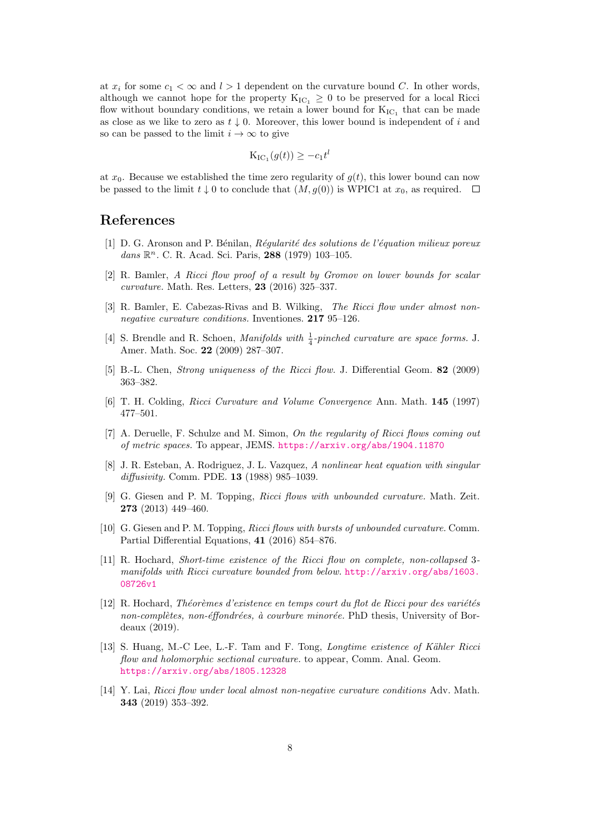at  $x_i$  for some  $c_1 < \infty$  and  $l > 1$  dependent on the curvature bound C. In other words, although we cannot hope for the property  $K_{IC_1} \geq 0$  to be preserved for a local Ricci flow without boundary conditions, we retain a lower bound for  $K_{IC_1}$  that can be made as close as we like to zero as  $t \downarrow 0$ . Moreover, this lower bound is independent of i and so can be passed to the limit  $i \to \infty$  to give

$$
K_{\mathrm{IC}_1}(g(t)) \geq -c_1 t^l
$$

at  $x_0$ . Because we established the time zero regularity of  $g(t)$ , this lower bound can now be passed to the limit  $t \downarrow 0$  to conclude that  $(M, g(0))$  is WPIC1 at  $x_0$ , as required.  $\square$ 

### References

- <span id="page-7-7"></span>[1] D. G. Aronson and P. Bénilan,  $Réqularity$  des solutions de l'équation milieux poreux dans  $\mathbb{R}^n$ . C. R. Acad. Sci. Paris, 288 (1979) 103-105.
- <span id="page-7-5"></span>[2] R. Bamler, A Ricci flow proof of a result by Gromov on lower bounds for scalar curvature. Math. Res. Letters, 23 (2016) 325–337.
- <span id="page-7-9"></span>[3] R. Bamler, E. Cabezas-Rivas and B. Wilking, The Ricci flow under almost nonnegative curvature conditions. Inventiones. 217 95–126.
- <span id="page-7-4"></span>[4] S. Brendle and R. Schoen, *Manifolds with*  $\frac{1}{4}$ -pinched curvature are space forms. J. Amer. Math. Soc. 22 (2009) 287–307.
- <span id="page-7-1"></span>[5] B.-L. Chen, Strong uniqueness of the Ricci flow. J. Differential Geom. 82 (2009) 363–382.
- <span id="page-7-13"></span>[6] T. H. Colding, Ricci Curvature and Volume Convergence Ann. Math. 145 (1997) 477–501.
- <span id="page-7-0"></span>[7] A. Deruelle, F. Schulze and M. Simon, On the regularity of Ricci flows coming out of metric spaces. To appear, JEMS. <https://arxiv.org/abs/1904.11870>
- <span id="page-7-6"></span>[8] J. R. Esteban, A. Rodriguez, J. L. Vazquez, A nonlinear heat equation with singular diffusivity. Comm. PDE. 13 (1988) 985–1039.
- <span id="page-7-2"></span>[9] G. Giesen and P. M. Topping, Ricci flows with unbounded curvature. Math. Zeit. 273 (2013) 449–460.
- <span id="page-7-3"></span>[10] G. Giesen and P. M. Topping, Ricci flows with bursts of unbounded curvature. Comm. Partial Differential Equations, 41 (2016) 854–876.
- <span id="page-7-11"></span>[11] R. Hochard, Short-time existence of the Ricci flow on complete, non-collapsed 3 manifolds with Ricci curvature bounded from below. [http://arxiv.org/abs/1603.](http://arxiv.org/abs/1603.08726v1) [08726v1](http://arxiv.org/abs/1603.08726v1)
- <span id="page-7-12"></span> $[12]$  R. Hochard, Théorèmes d'existence en temps court du flot de Ricci pour des variétés non-complètes, non-éffondrées, à courbure minorée. PhD thesis, University of Bordeaux (2019).
- <span id="page-7-8"></span>[13] S. Huang, M.-C Lee, L.-F. Tam and F. Tong, *Longtime existence of Kähler Ricci* flow and holomorphic sectional curvature. to appear, Comm. Anal. Geom. <https://arxiv.org/abs/1805.12328>
- <span id="page-7-10"></span>[14] Y. Lai, Ricci flow under local almost non-negative curvature conditions Adv. Math. 343 (2019) 353–392.